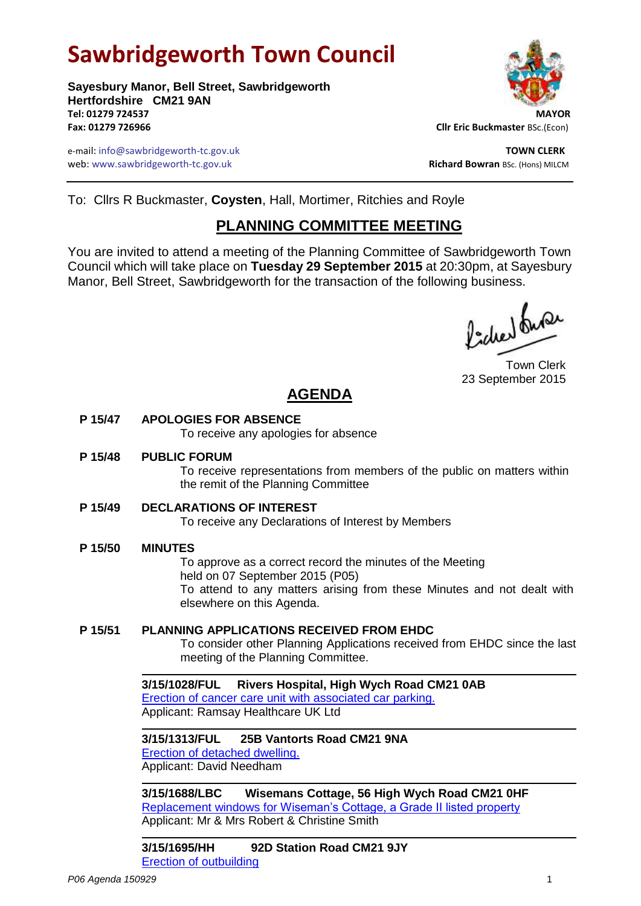# **Sawbridgeworth Town Council**

**Sayesbury Manor, Bell Street, Sawbridgeworth Hertfordshire CM21 9AN Tel: 01279 724537 MAYOR Fax: 01279 726966 Cllr Eric Buckmaster** BSc.(Econ)

e-mail: info@sawbridgeworth-tc.gov.uk **TOWN CLERK** web: www.sawbridgeworth-tc.gov.uk and the state of the state of the state of the state of the state of the state of the state of the state of the state of the state of the state of the state of the state of the state of th



To: Cllrs R Buckmaster, **Coysten**, Hall, Mortimer, Ritchies and Royle

## **PLANNING COMMITTEE MEETING**

You are invited to attend a meeting of the Planning Committee of Sawbridgeworth Town Council which will take place on **Tuesday 29 September 2015** at 20:30pm, at Sayesbury Manor, Bell Street, Sawbridgeworth for the transaction of the following business.

fided fune

Town Clerk 23 September 2015

# **AGENDA**

### **P 15/47 APOLOGIES FOR ABSENCE**

To receive any apologies for absence

#### **P 15/48 PUBLIC FORUM**

To receive representations from members of the public on matters within the remit of the Planning Committee

### **P 15/49 DECLARATIONS OF INTEREST**

To receive any Declarations of Interest by Members

### **P 15/50 MINUTES**

To approve as a correct record the minutes of the Meeting held on 07 September 2015 (P05) To attend to any matters arising from these Minutes and not dealt with elsewhere on this Agenda.

### **P 15/51 PLANNING APPLICATIONS RECEIVED FROM EHDC**

To consider other Planning Applications received from EHDC since the last meeting of the Planning Committee.

**3/15/1028/FUL Rivers Hospital, High Wych Road CM21 0AB** [Erection of cancer care unit with associated car parking.](https://publicaccess.eastherts.gov.uk/online-applications/applicationDetails.do?activeTab=summary&keyVal=NOJJE4GL00X00) Applicant: Ramsay Healthcare UK Ltd

**3/15/1313/FUL 25B Vantorts Road CM21 9NA** [Erection of detached dwelling.](https://publicaccess.eastherts.gov.uk/online-applications/applicationDetails.do?activeTab=summary&keyVal=NQC9PDGL00X00) Applicant: David Needham

**3/15/1688/LBC Wisemans Cottage, 56 High Wych Road CM21 0HF** [Replacement windows for Wiseman's Cottage, a Grade II listed property](https://publicaccess.eastherts.gov.uk/online-applications/applicationDetails.do?activeTab=summary&keyVal=NQC9PDGL00X00) Applicant: Mr & Mrs Robert & Christine Smith

**3/15/1695/HH 92D Station Road CM21 9JY** [Erection of outbuilding](https://publicaccess.eastherts.gov.uk/online-applications/applicationDetails.do?activeTab=summary&keyVal=NQC9PDGL00X00)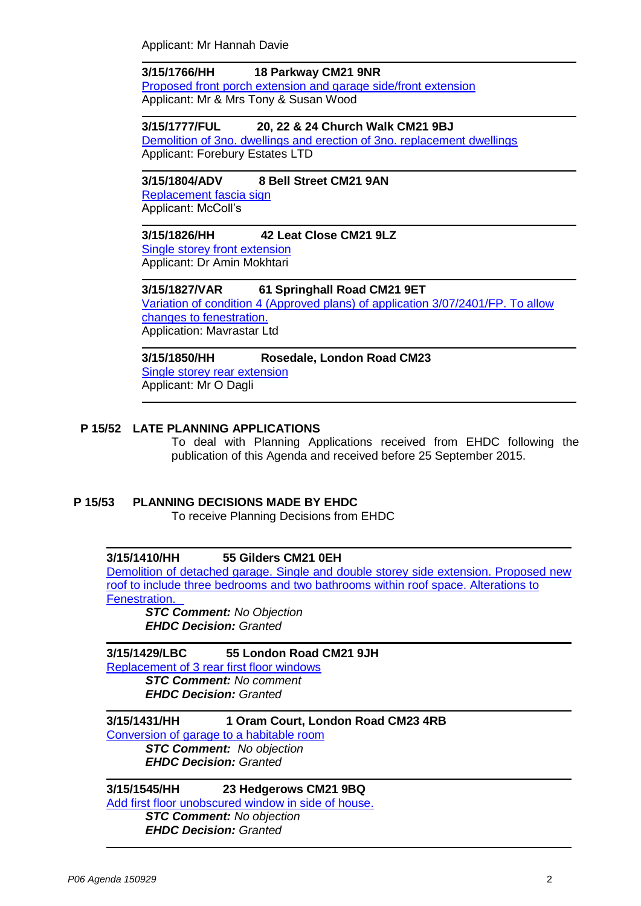Applicant: Mr Hannah Davie

**3/15/1766/HH 18 Parkway CM21 9NR** [Proposed front porch extension and garage side/front extension](https://publicaccess.eastherts.gov.uk/online-applications/applicationDetails.do?activeTab=summary&keyVal=NTN8EKGLGWK00) Applicant: Mr & Mrs Tony & Susan Wood

**3/15/1777/FUL 20, 22 & 24 Church Walk CM21 9BJ** [Demolition of 3no. dwellings and erection of 3no. replacement dwellings](https://publicaccess.eastherts.gov.uk/online-applications/applicationDetails.do?activeTab=summary&keyVal=NTN8EKGLGWK00) Applicant: Forebury Estates LTD

## **3/15/1804/ADV 8 Bell Street CM21 9AN**

[Replacement fascia sign](https://publicaccess.eastherts.gov.uk/online-applications/applicationDetails.do?activeTab=summary&keyVal=NU1FHPGLGY100) Applicant: McColl's

#### **3/15/1826/HH 42 Leat Close CM21 9LZ**

[Single storey front extension](https://publicaccess.eastherts.gov.uk/online-applications/applicationDetails.do?activeTab=summary&keyVal=NU6ZGIGLGYW00)  Applicant: Dr Amin Mokhtari

**3/15/1827/VAR 61 Springhall Road CM21 9ET** [Variation of condition 4 \(Approved plans\) of application 3/07/2401/FP. To allow](https://publicaccess.eastherts.gov.uk/online-applications/applicationDetails.do?activeTab=summary&keyVal=NU6ZGNGLGYX00)  [changes to fenestration.](https://publicaccess.eastherts.gov.uk/online-applications/applicationDetails.do?activeTab=summary&keyVal=NU6ZGNGLGYX00) Application: Mavrastar Ltd

**3/15/1850/HH Rosedale, London Road CM23** [Single storey rear extension](https://publicaccess.eastherts.gov.uk/online-applications/applicationDetails.do?activeTab=summary&keyVal=NUD69GGL00700) Applicant: Mr O Dagli

### **P 15/52 LATE PLANNING APPLICATIONS**

To deal with Planning Applications received from EHDC following the publication of this Agenda and received before 25 September 2015.

### **P 15/53 PLANNING DECISIONS MADE BY EHDC**

To receive Planning Decisions from EHDC

### **3/15/1410/HH 55 Gilders CM21 0EH**

[Demolition of detached garage. Single and double storey side extension. Proposed new](https://publicaccess.eastherts.gov.uk/online-applications/applicationDetails.do?activeTab=summary&keyVal=NQX38AGLGK400)  [roof to include three bedrooms and two bathrooms within roof space. Alterations to](https://publicaccess.eastherts.gov.uk/online-applications/applicationDetails.do?activeTab=summary&keyVal=NQX38AGLGK400)  [Fenestration.](https://publicaccess.eastherts.gov.uk/online-applications/applicationDetails.do?activeTab=summary&keyVal=NQX38AGLGK400)

*STC Comment: No Objection EHDC Decision: Granted*

#### **3/15/1429/LBC 55 London Road CM21 9JH** [Replacement of 3 rear first floor windows](https://publicaccess.eastherts.gov.uk/online-applications/applicationDetails.do?activeTab=summary&keyVal=NR3VIVGLGKX00)

*STC Comment: No comment EHDC Decision: Granted*

**3/15/1431/HH 1 Oram Court, London Road CM23 4RB** [Conversion of garage to a habitable room](https://publicaccess.eastherts.gov.uk/online-applications/applicationDetails.do?activeTab=summary&keyVal=NR46N6GLGL000) *STC Comment: No objection EHDC Decision: Granted*

### **3/15/1545/HH 23 Hedgerows CM21 9BQ**

[Add first floor unobscured window in side of house.](https://publicaccess.eastherts.gov.uk/online-applications/applicationDetails.do?activeTab=summary&keyVal=NRXI4AGLGP200)

*STC Comment: No objection EHDC Decision: Granted*